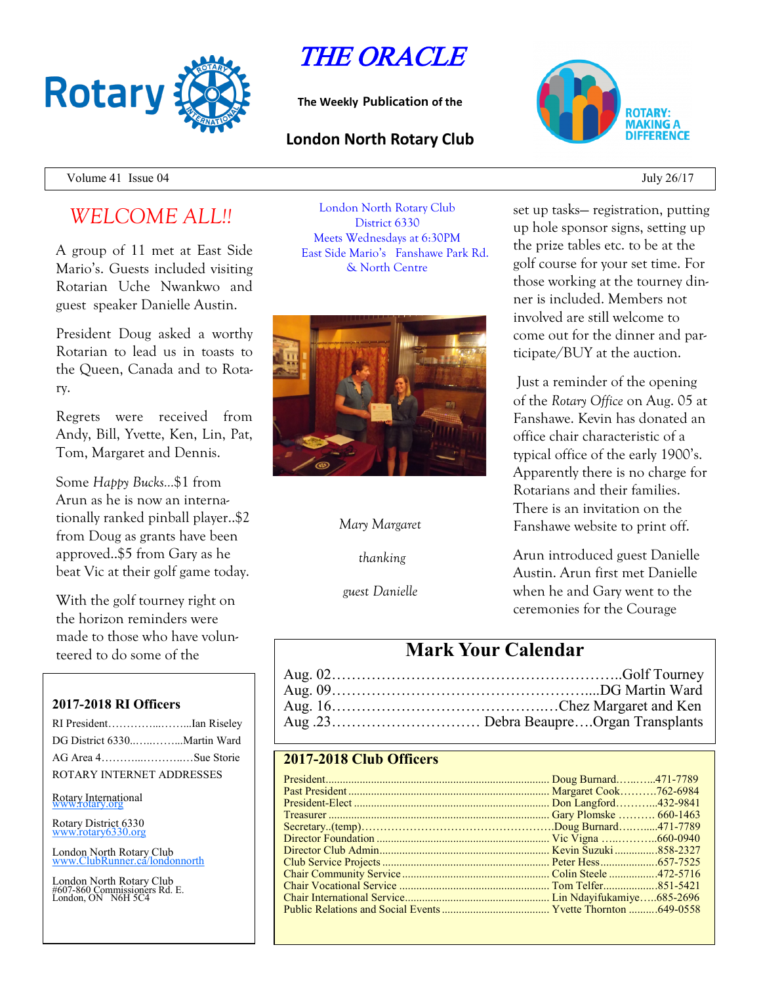

# THE ORACLE

**The Weekly Publication of the**

### **London North Rotary Club**



Volume 41 Issue  $04$  July 26/17

# *WELCOME ALL!!*

A group of 11 met at East Side Mario's. Guests included visiting Rotarian Uche Nwankwo and guest speaker Danielle Austin.

President Doug asked a worthy Rotarian to lead us in toasts to the Queen, Canada and to Rotary.

Regrets were received from Andy, Bill, Yvette, Ken, Lin, Pat, Tom, Margaret and Dennis.

Some *Happy Bucks…*\$1 from Arun as he is now an internationally ranked pinball player..\$2 from Doug as grants have been approved..\$5 from Gary as he beat Vic at their golf game today.

With the golf tourney right on the horizon reminders were made to those who have volunteered to do some of the

### **2017-2018 RI Officers**

| RI PresidentIan Riseley     |  |
|-----------------------------|--|
| DG District 6330Martin Ward |  |
| AG Area 4Sue Storie         |  |
| ROTARY INTERNET ADDRESSES   |  |

Rotary International

Rotary District 6330 [www.rotary6330.org](http://www.rotary6330.org/)

London North Rotary Club IubRunner.ca/londonnorth

London North Rotary Club #607-860 Commissioners Rd. E. London, ON N6H 5C4

London North Rotary Club District 6330 Meets Wednesdays at 6:30PM East Side Mario's Fanshawe Park Rd. & North Centre



### *Mary Margaret*

*thanking*

*guest Danielle*

set up tasks— registration, putting up hole sponsor signs, setting up the prize tables etc. to be at the golf course for your set time. For those working at the tourney dinner is included. Members not involved are still welcome to come out for the dinner and participate/BUY at the auction.

Just a reminder of the opening of the *Rotary Office* on Aug. 05 at Fanshawe. Kevin has donated an office chair characteristic of a typical office of the early 1900's. Apparently there is no charge for Rotarians and their families. There is an invitation on the Fanshawe website to print off.

Arun introduced guest Danielle Austin. Arun first met Danielle when he and Gary went to the ceremonies for the Courage

## **Mark Your Calendar**

### **2017-2018 Club Officers**